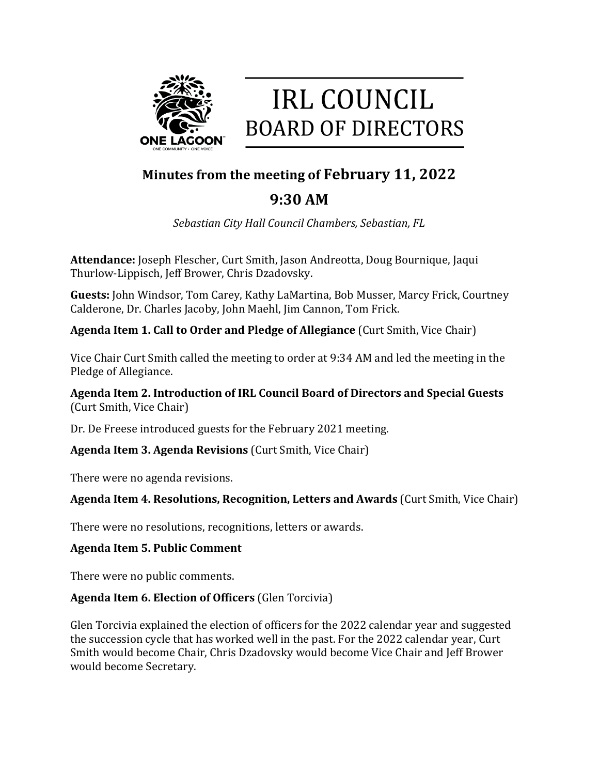

# **IRL COUNCIL BOARD OF DIRECTORS**

# **Minutes from the meeting of February 11, 2022**

# **9:30 AM**

*Sebastian City Hall Council Chambers, Sebastian, FL*

**Attendance:** Joseph Flescher, Curt Smith, Jason Andreotta, Doug Bournique, Jaqui Thurlow-Lippisch, Jeff Brower, Chris Dzadovsky.

**Guests:** John Windsor, Tom Carey, Kathy LaMartina, Bob Musser, Marcy Frick, Courtney Calderone, Dr. Charles Jacoby, John Maehl, Jim Cannon, Tom Frick.

**Agenda Item 1. Call to Order and Pledge of Allegiance** (Curt Smith, Vice Chair)

Vice Chair Curt Smith called the meeting to order at 9:34 AM and led the meeting in the Pledge of Allegiance.

**Agenda Item 2. Introduction of IRL Council Board of Directors and Special Guests** (Curt Smith, Vice Chair)

Dr. De Freese introduced guests for the February 2021 meeting.

**Agenda Item 3. Agenda Revisions** (Curt Smith, Vice Chair)

There were no agenda revisions.

## **Agenda Item 4. Resolutions, Recognition, Letters and Awards** (Curt Smith, Vice Chair)

There were no resolutions, recognitions, letters or awards.

#### **Agenda Item 5. Public Comment**

There were no public comments.

## **Agenda Item 6. Election of Officers** (Glen Torcivia)

Glen Torcivia explained the election of officers for the 2022 calendar year and suggested the succession cycle that has worked well in the past. For the 2022 calendar year, Curt Smith would become Chair, Chris Dzadovsky would become Vice Chair and Jeff Brower would become Secretary.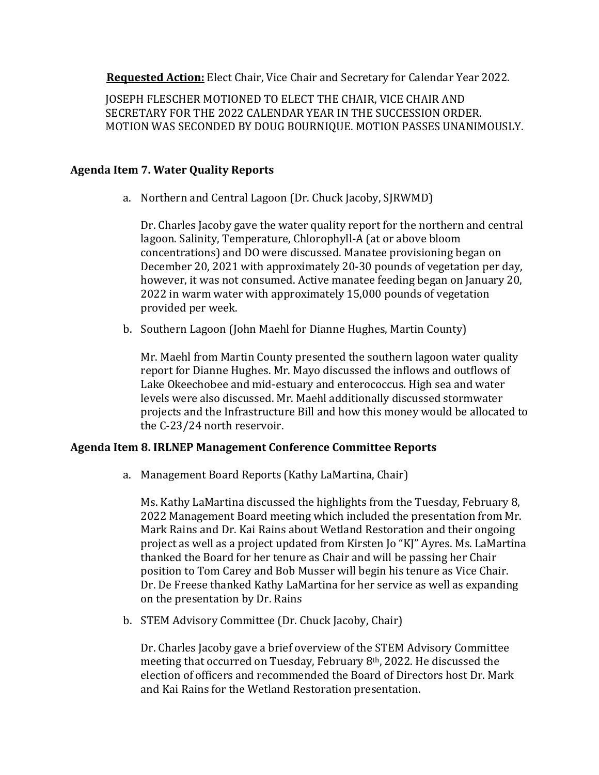**Requested Action:** Elect Chair, Vice Chair and Secretary for Calendar Year 2022.

JOSEPH FLESCHER MOTIONED TO ELECT THE CHAIR, VICE CHAIR AND SECRETARY FOR THE 2022 CALENDAR YEAR IN THE SUCCESSION ORDER. MOTION WAS SECONDED BY DOUG BOURNIQUE. MOTION PASSES UNANIMOUSLY.

#### **Agenda Item 7. Water Quality Reports**

a. Northern and Central Lagoon (Dr. Chuck Jacoby, SJRWMD)

Dr. Charles Jacoby gave the water quality report for the northern and central lagoon. Salinity, Temperature, Chlorophyll-A (at or above bloom concentrations) and DO were discussed. Manatee provisioning began on December 20, 2021 with approximately 20-30 pounds of vegetation per day, however, it was not consumed. Active manatee feeding began on January 20, 2022 in warm water with approximately 15,000 pounds of vegetation provided per week.

b. Southern Lagoon (John Maehl for Dianne Hughes, Martin County)

Mr. Maehl from Martin County presented the southern lagoon water quality report for Dianne Hughes. Mr. Mayo discussed the inflows and outflows of Lake Okeechobee and mid-estuary and enterococcus. High sea and water levels were also discussed. Mr. Maehl additionally discussed stormwater projects and the Infrastructure Bill and how this money would be allocated to the C-23/24 north reservoir.

#### **Agenda Item 8. IRLNEP Management Conference Committee Reports**

a. Management Board Reports (Kathy LaMartina, Chair)

Ms. Kathy LaMartina discussed the highlights from the Tuesday, February 8, 2022 Management Board meeting which included the presentation from Mr. Mark Rains and Dr. Kai Rains about Wetland Restoration and their ongoing project as well as a project updated from Kirsten Jo "KJ" Ayres. Ms. LaMartina thanked the Board for her tenure as Chair and will be passing her Chair position to Tom Carey and Bob Musser will begin his tenure as Vice Chair. Dr. De Freese thanked Kathy LaMartina for her service as well as expanding on the presentation by Dr. Rains

b. STEM Advisory Committee (Dr. Chuck Jacoby, Chair)

Dr. Charles Jacoby gave a brief overview of the STEM Advisory Committee meeting that occurred on Tuesday, February 8th, 2022. He discussed the election of officers and recommended the Board of Directors host Dr. Mark and Kai Rains for the Wetland Restoration presentation.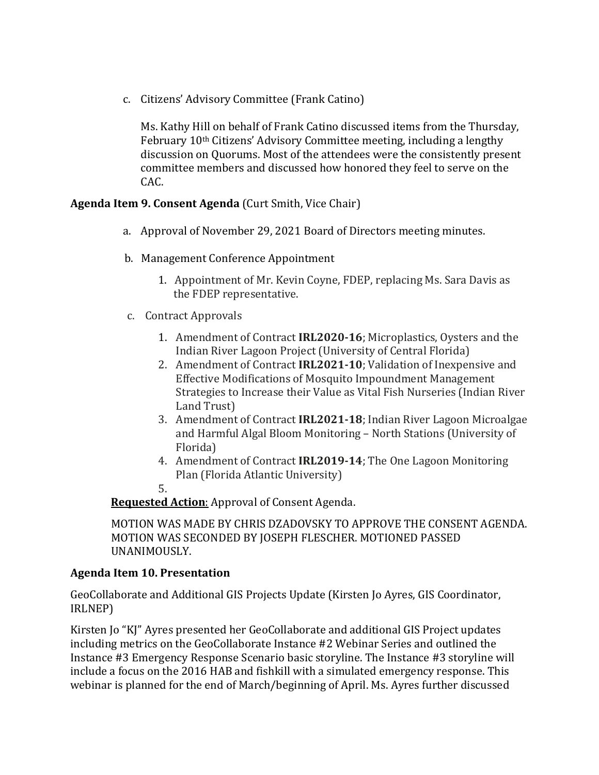c. Citizens' Advisory Committee (Frank Catino)

Ms. Kathy Hill on behalf of Frank Catino discussed items from the Thursday, February 10th Citizens' Advisory Committee meeting, including a lengthy discussion on Quorums. Most of the attendees were the consistently present committee members and discussed how honored they feel to serve on the CAC.

#### **Agenda Item 9. Consent Agenda** (Curt Smith, Vice Chair)

- a. Approval of November 29, 2021 Board of Directors meeting minutes.
- b. Management Conference Appointment
	- 1. Appointment of Mr. Kevin Coyne, FDEP, replacing Ms. Sara Davis as the FDEP representative.
- c. Contract Approvals
	- 1. Amendment of Contract **IRL2020-16**; Microplastics, Oysters and the Indian River Lagoon Project (University of Central Florida)
	- 2. Amendment of Contract **IRL2021-10**; Validation of Inexpensive and Effective Modifications of Mosquito Impoundment Management Strategies to Increase their Value as Vital Fish Nurseries (Indian River Land Trust)
	- 3. Amendment of Contract **IRL2021-18**; Indian River Lagoon Microalgae and Harmful Algal Bloom Monitoring – North Stations (University of Florida)
	- 4. Amendment of Contract **IRL2019-14**; The One Lagoon Monitoring Plan (Florida Atlantic University)
	- 5.

**Requested Action**: Approval of Consent Agenda.

MOTION WAS MADE BY CHRIS DZADOVSKY TO APPROVE THE CONSENT AGENDA. MOTION WAS SECONDED BY JOSEPH FLESCHER. MOTIONED PASSED UNANIMOUSLY.

#### **Agenda Item 10. Presentation**

GeoCollaborate and Additional GIS Projects Update (Kirsten Jo Ayres, GIS Coordinator, IRLNEP)

Kirsten Jo "KJ" Ayres presented her GeoCollaborate and additional GIS Project updates including metrics on the GeoCollaborate Instance #2 Webinar Series and outlined the Instance #3 Emergency Response Scenario basic storyline. The Instance #3 storyline will include a focus on the 2016 HAB and fishkill with a simulated emergency response. This webinar is planned for the end of March/beginning of April. Ms. Ayres further discussed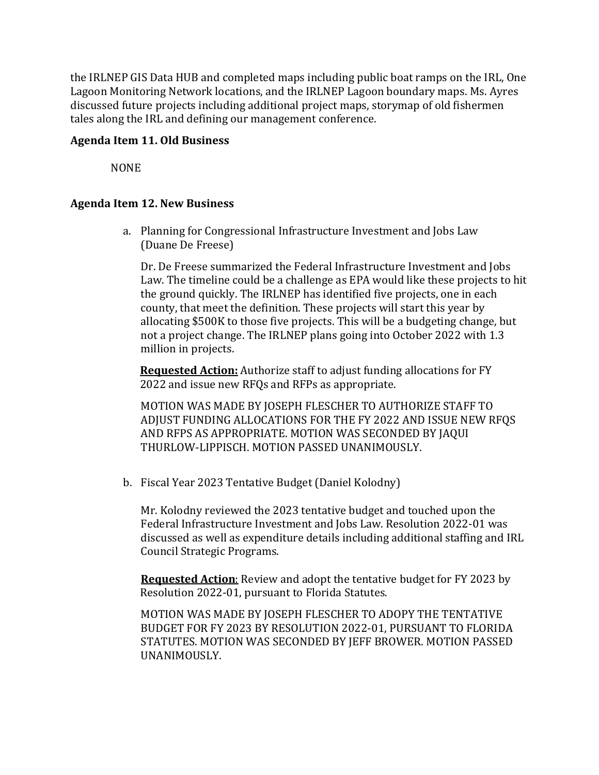the IRLNEP GIS Data HUB and completed maps including public boat ramps on the IRL, One Lagoon Monitoring Network locations, and the IRLNEP Lagoon boundary maps. Ms. Ayres discussed future projects including additional project maps, storymap of old fishermen tales along the IRL and defining our management conference.

#### **Agenda Item 11. Old Business**

NONE

#### **Agenda Item 12. New Business**

a. Planning for Congressional Infrastructure Investment and Jobs Law (Duane De Freese)

Dr. De Freese summarized the Federal Infrastructure Investment and Jobs Law. The timeline could be a challenge as EPA would like these projects to hit the ground quickly. The IRLNEP has identified five projects, one in each county, that meet the definition. These projects will start this year by allocating \$500K to those five projects. This will be a budgeting change, but not a project change. The IRLNEP plans going into October 2022 with 1.3 million in projects.

 **Requested Action:** Authorize staff to adjust funding allocations for FY 2022 and issue new RFQs and RFPs as appropriate.

MOTION WAS MADE BY JOSEPH FLESCHER TO AUTHORIZE STAFF TO ADJUST FUNDING ALLOCATIONS FOR THE FY 2022 AND ISSUE NEW RFQS AND RFPS AS APPROPRIATE. MOTION WAS SECONDED BY JAQUI THURLOW-LIPPISCH. MOTION PASSED UNANIMOUSLY.

b. Fiscal Year 2023 Tentative Budget (Daniel Kolodny)

Mr. Kolodny reviewed the 2023 tentative budget and touched upon the Federal Infrastructure Investment and Jobs Law. Resolution 2022-01 was discussed as well as expenditure details including additional staffing and IRL Council Strategic Programs.

 **Requested Action**: Review and adopt the tentative budget for FY 2023 by Resolution 2022-01, pursuant to Florida Statutes.

MOTION WAS MADE BY JOSEPH FLESCHER TO ADOPY THE TENTATIVE BUDGET FOR FY 2023 BY RESOLUTION 2022-01, PURSUANT TO FLORIDA STATUTES. MOTION WAS SECONDED BY JEFF BROWER. MOTION PASSED UNANIMOUSLY.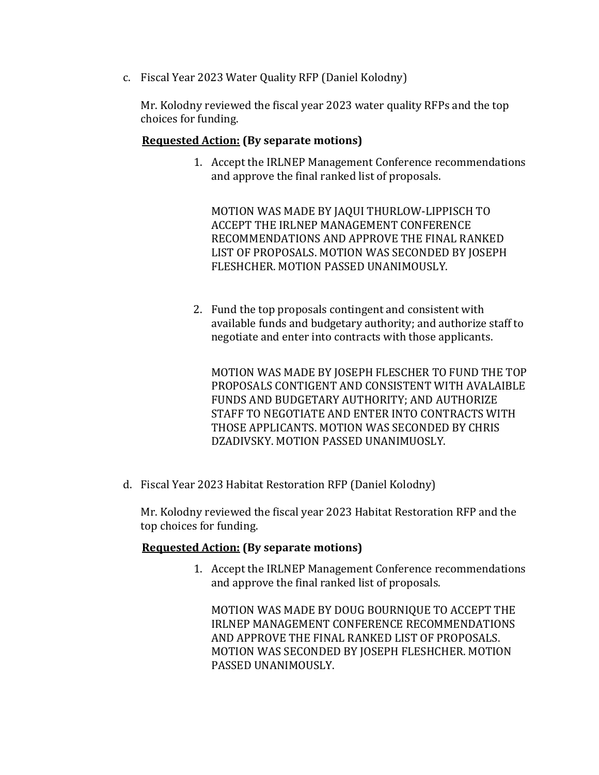c. Fiscal Year 2023 Water Quality RFP (Daniel Kolodny)

Mr. Kolodny reviewed the fiscal year 2023 water quality RFPs and the top choices for funding.

#### **Requested Action: (By separate motions)**

1. Accept the IRLNEP Management Conference recommendations and approve the final ranked list of proposals.

MOTION WAS MADE BY JAQUI THURLOW-LIPPISCH TO ACCEPT THE IRLNEP MANAGEMENT CONFERENCE RECOMMENDATIONS AND APPROVE THE FINAL RANKED LIST OF PROPOSALS. MOTION WAS SECONDED BY JOSEPH FLESHCHER. MOTION PASSED UNANIMOUSLY.

2. Fund the top proposals contingent and consistent with available funds and budgetary authority; and authorize staff to negotiate and enter into contracts with those applicants.

MOTION WAS MADE BY JOSEPH FLESCHER TO FUND THE TOP PROPOSALS CONTIGENT AND CONSISTENT WITH AVALAIBLE FUNDS AND BUDGETARY AUTHORITY; AND AUTHORIZE STAFF TO NEGOTIATE AND ENTER INTO CONTRACTS WITH THOSE APPLICANTS. MOTION WAS SECONDED BY CHRIS DZADIVSKY. MOTION PASSED UNANIMUOSLY.

d. Fiscal Year 2023 Habitat Restoration RFP (Daniel Kolodny)

Mr. Kolodny reviewed the fiscal year 2023 Habitat Restoration RFP and the top choices for funding.

#### **Requested Action: (By separate motions)**

1. Accept the IRLNEP Management Conference recommendations and approve the final ranked list of proposals.

MOTION WAS MADE BY DOUG BOURNIQUE TO ACCEPT THE IRLNEP MANAGEMENT CONFERENCE RECOMMENDATIONS AND APPROVE THE FINAL RANKED LIST OF PROPOSALS. MOTION WAS SECONDED BY JOSEPH FLESHCHER. MOTION PASSED UNANIMOUSLY.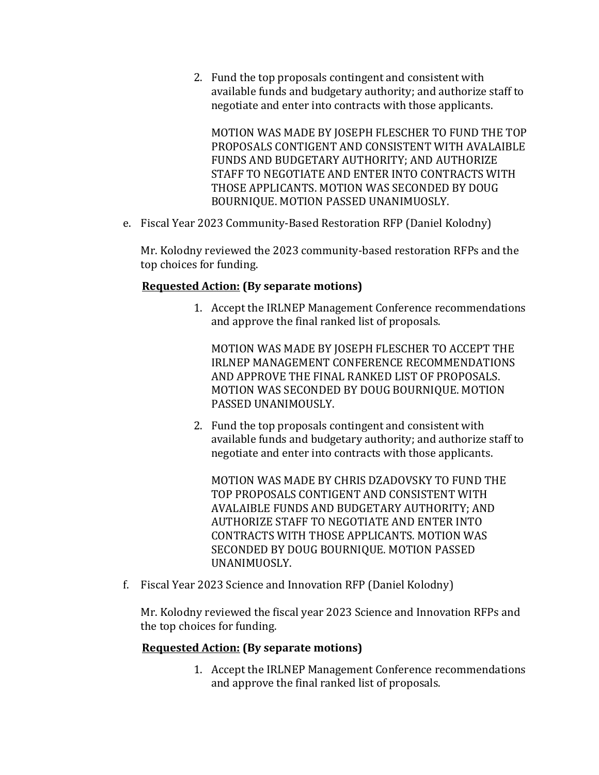2. Fund the top proposals contingent and consistent with available funds and budgetary authority; and authorize staff to negotiate and enter into contracts with those applicants.

MOTION WAS MADE BY JOSEPH FLESCHER TO FUND THE TOP PROPOSALS CONTIGENT AND CONSISTENT WITH AVALAIBLE FUNDS AND BUDGETARY AUTHORITY; AND AUTHORIZE STAFF TO NEGOTIATE AND ENTER INTO CONTRACTS WITH THOSE APPLICANTS. MOTION WAS SECONDED BY DOUG BOURNIQUE. MOTION PASSED UNANIMUOSLY.

e. Fiscal Year 2023 Community-Based Restoration RFP (Daniel Kolodny)

Mr. Kolodny reviewed the 2023 community-based restoration RFPs and the top choices for funding.

#### **Requested Action: (By separate motions)**

1. Accept the IRLNEP Management Conference recommendations and approve the final ranked list of proposals.

MOTION WAS MADE BY JOSEPH FLESCHER TO ACCEPT THE IRLNEP MANAGEMENT CONFERENCE RECOMMENDATIONS AND APPROVE THE FINAL RANKED LIST OF PROPOSALS. MOTION WAS SECONDED BY DOUG BOURNIQUE. MOTION PASSED UNANIMOUSLY.

2. Fund the top proposals contingent and consistent with available funds and budgetary authority; and authorize staff to negotiate and enter into contracts with those applicants.

MOTION WAS MADE BY CHRIS DZADOVSKY TO FUND THE TOP PROPOSALS CONTIGENT AND CONSISTENT WITH AVALAIBLE FUNDS AND BUDGETARY AUTHORITY; AND AUTHORIZE STAFF TO NEGOTIATE AND ENTER INTO CONTRACTS WITH THOSE APPLICANTS. MOTION WAS SECONDED BY DOUG BOURNIQUE. MOTION PASSED UNANIMUOSLY.

f. Fiscal Year 2023 Science and Innovation RFP (Daniel Kolodny)

Mr. Kolodny reviewed the fiscal year 2023 Science and Innovation RFPs and the top choices for funding.

#### **Requested Action: (By separate motions)**

1. Accept the IRLNEP Management Conference recommendations and approve the final ranked list of proposals.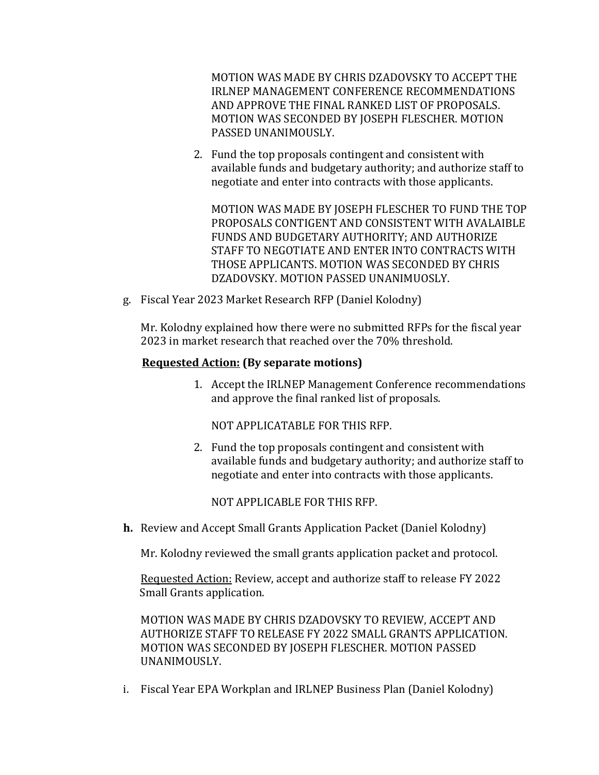MOTION WAS MADE BY CHRIS DZADOVSKY TO ACCEPT THE IRLNEP MANAGEMENT CONFERENCE RECOMMENDATIONS AND APPROVE THE FINAL RANKED LIST OF PROPOSALS. MOTION WAS SECONDED BY JOSEPH FLESCHER. MOTION PASSED UNANIMOUSLY.

2. Fund the top proposals contingent and consistent with available funds and budgetary authority; and authorize staff to negotiate and enter into contracts with those applicants.

MOTION WAS MADE BY JOSEPH FLESCHER TO FUND THE TOP PROPOSALS CONTIGENT AND CONSISTENT WITH AVALAIBLE FUNDS AND BUDGETARY AUTHORITY; AND AUTHORIZE STAFF TO NEGOTIATE AND ENTER INTO CONTRACTS WITH THOSE APPLICANTS. MOTION WAS SECONDED BY CHRIS DZADOVSKY. MOTION PASSED UNANIMUOSLY.

g. Fiscal Year 2023 Market Research RFP (Daniel Kolodny)

Mr. Kolodny explained how there were no submitted RFPs for the fiscal year 2023 in market research that reached over the 70% threshold.

#### **Requested Action: (By separate motions)**

1. Accept the IRLNEP Management Conference recommendations and approve the final ranked list of proposals.

NOT APPLICATABLE FOR THIS RFP.

2. Fund the top proposals contingent and consistent with available funds and budgetary authority; and authorize staff to negotiate and enter into contracts with those applicants.

NOT APPLICABLE FOR THIS RFP.

**h.** Review and Accept Small Grants Application Packet (Daniel Kolodny)

Mr. Kolodny reviewed the small grants application packet and protocol.

Requested Action: Review, accept and authorize staff to release FY 2022 Small Grants application.

MOTION WAS MADE BY CHRIS DZADOVSKY TO REVIEW, ACCEPT AND AUTHORIZE STAFF TO RELEASE FY 2022 SMALL GRANTS APPLICATION. MOTION WAS SECONDED BY JOSEPH FLESCHER. MOTION PASSED UNANIMOUSLY.

i. Fiscal Year EPA Workplan and IRLNEP Business Plan (Daniel Kolodny)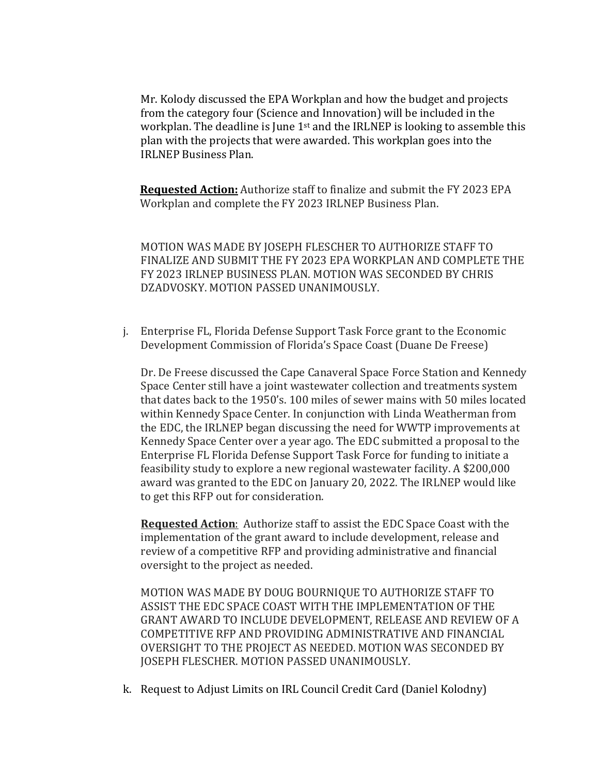Mr. Kolody discussed the EPA Workplan and how the budget and projects from the category four (Science and Innovation) will be included in the workplan. The deadline is June 1<sup>st</sup> and the IRLNEP is looking to assemble this plan with the projects that were awarded. This workplan goes into the IRLNEP Business Plan.

 **Requested Action:** Authorize staff to finalize and submit the FY 2023 EPA Workplan and complete the FY 2023 IRLNEP Business Plan.

MOTION WAS MADE BY JOSEPH FLESCHER TO AUTHORIZE STAFF TO FINALIZE AND SUBMIT THE FY 2023 EPA WORKPLAN AND COMPLETE THE FY 2023 IRLNEP BUSINESS PLAN. MOTION WAS SECONDED BY CHRIS DZADVOSKY. MOTION PASSED UNANIMOUSLY.

j. Enterprise FL, Florida Defense Support Task Force grant to the Economic Development Commission of Florida's Space Coast (Duane De Freese)

Dr. De Freese discussed the Cape Canaveral Space Force Station and Kennedy Space Center still have a joint wastewater collection and treatments system that dates back to the 1950's. 100 miles of sewer mains with 50 miles located within Kennedy Space Center. In conjunction with Linda Weatherman from the EDC, the IRLNEP began discussing the need for WWTP improvements at Kennedy Space Center over a year ago. The EDC submitted a proposal to the Enterprise FL Florida Defense Support Task Force for funding to initiate a feasibility study to explore a new regional wastewater facility. A \$200,000 award was granted to the EDC on January 20, 2022. The IRLNEP would like to get this RFP out for consideration.

**Requested Action**: Authorize staff to assist the EDC Space Coast with the implementation of the grant award to include development, release and review of a competitive RFP and providing administrative and financial oversight to the project as needed.

MOTION WAS MADE BY DOUG BOURNIQUE TO AUTHORIZE STAFF TO ASSIST THE EDC SPACE COAST WITH THE IMPLEMENTATION OF THE GRANT AWARD TO INCLUDE DEVELOPMENT, RELEASE AND REVIEW OF A COMPETITIVE RFP AND PROVIDING ADMINISTRATIVE AND FINANCIAL OVERSIGHT TO THE PROJECT AS NEEDED. MOTION WAS SECONDED BY JOSEPH FLESCHER. MOTION PASSED UNANIMOUSLY.

k. Request to Adjust Limits on IRL Council Credit Card (Daniel Kolodny)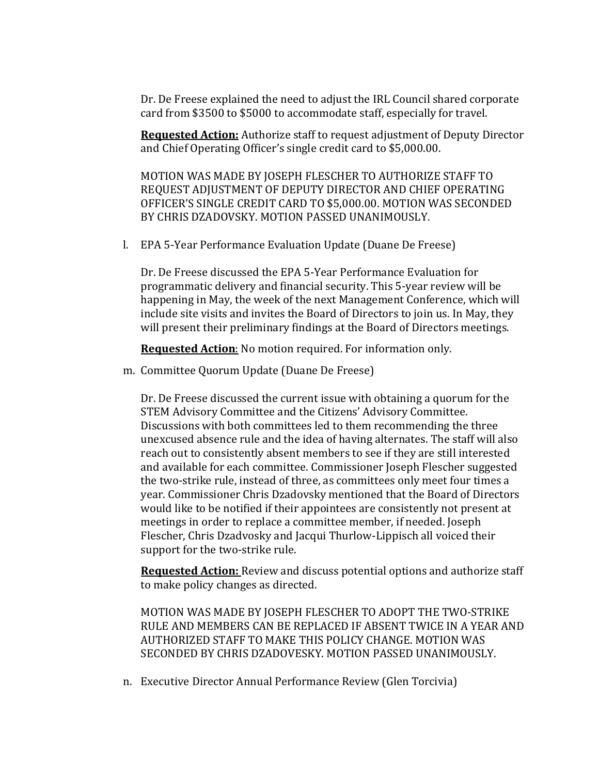Dr. De Freese explained the need to adjust the IRL Council shared corporate card from \$3500 to \$5000 to accommodate staff, especially for travel.

**Requested Action:** Authorize staff to request adjustment of Deputy Director and Chief Operating Officer's single credit card to \$5,000.00.

MOTION WAS MADE BY JOSEPH FLESCHER TO AUTHORIZE STAFF TO REQUEST ADJUSTMENT OF DEPUTY DIRECTOR AND CHIEF OPERATING OFFICER'S SINGLE CREDIT CARD TO \$5,000.00. MOTION WAS SECONDED BY CHRIS DZADOVSKY. MOTION PASSED UNANIMOUSLY.

l. EPA 5-Year Performance Evaluation Update (Duane De Freese)

Dr. De Freese discussed the EPA 5-Year Performance Evaluation for programmatic delivery and financial security. This 5-year review will be happening in May, the week of the next Management Conference, which will include site visits and invites the Board of Directors to join us. In May, they will present their preliminary findings at the Board of Directors meetings.

**Requested Action**: No motion required. For information only.

m. Committee Quorum Update (Duane De Freese)

Dr. De Freese discussed the current issue with obtaining a quorum for the STEM Advisory Committee and the Citizens' Advisory Committee. Discussions with both committees led to them recommending the three unexcused absence rule and the idea of having alternates. The staff will also reach out to consistently absent members to see if they are still interested and available for each committee. Commissioner Joseph Flescher suggested the two-strike rule, instead of three, as committees only meet four times a year. Commissioner Chris Dzadovsky mentioned that the Board of Directors would like to be notified if their appointees are consistently not present at meetings in order to replace a committee member, if needed. Joseph Flescher, Chris Dzadvosky and Jacqui Thurlow-Lippisch all voiced their support for the two-strike rule.

**Requested Action:** Review and discuss potential options and authorize staff to make policy changes as directed.

MOTION WAS MADE BY JOSEPH FLESCHER TO ADOPT THE TWO-STRIKE RULE AND MEMBERS CAN BE REPLACED IF ABSENT TWICE IN A YEAR AND AUTHORIZED STAFF TO MAKE THIS POLICY CHANGE. MOTION WAS SECONDED BY CHRIS DZADOVESKY. MOTION PASSED UNANIMOUSLY.

n. Executive Director Annual Performance Review (Glen Torcivia)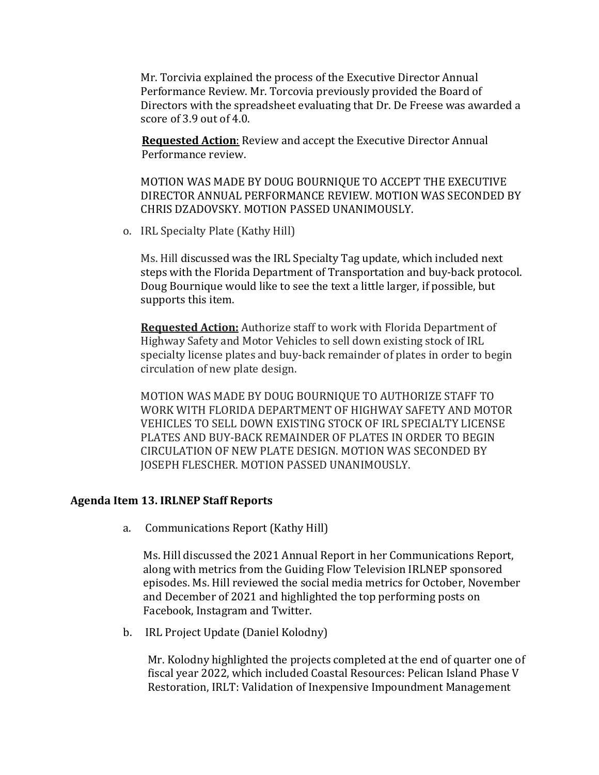Mr. Torcivia explained the process of the Executive Director Annual Performance Review. Mr. Torcovia previously provided the Board of Directors with the spreadsheet evaluating that Dr. De Freese was awarded a score of 3.9 out of 4.0.

 **Requested Action**: Review and accept the Executive Director Annual Performance review.

MOTION WAS MADE BY DOUG BOURNIQUE TO ACCEPT THE EXECUTIVE DIRECTOR ANNUAL PERFORMANCE REVIEW. MOTION WAS SECONDED BY CHRIS DZADOVSKY. MOTION PASSED UNANIMOUSLY.

o. IRL Specialty Plate (Kathy Hill)

Ms. Hill discussed was the IRL Specialty Tag update, which included next steps with the Florida Department of Transportation and buy-back protocol. Doug Bournique would like to see the text a little larger, if possible, but supports this item.

**Requested Action:** Authorize staff to work with Florida Department of Highway Safety and Motor Vehicles to sell down existing stock of IRL specialty license plates and buy-back remainder of plates in order to begin circulation of new plate design.

MOTION WAS MADE BY DOUG BOURNIQUE TO AUTHORIZE STAFF TO WORK WITH FLORIDA DEPARTMENT OF HIGHWAY SAFETY AND MOTOR VEHICLES TO SELL DOWN EXISTING STOCK OF IRL SPECIALTY LICENSE PLATES AND BUY-BACK REMAINDER OF PLATES IN ORDER TO BEGIN CIRCULATION OF NEW PLATE DESIGN. MOTION WAS SECONDED BY JOSEPH FLESCHER. MOTION PASSED UNANIMOUSLY.

#### **Agenda Item 13. IRLNEP Staff Reports**

a. Communications Report (Kathy Hill)

Ms. Hill discussed the 2021 Annual Report in her Communications Report, along with metrics from the Guiding Flow Television IRLNEP sponsored episodes. Ms. Hill reviewed the social media metrics for October, November and December of 2021 and highlighted the top performing posts on Facebook, Instagram and Twitter.

b. IRL Project Update (Daniel Kolodny)

Mr. Kolodny highlighted the projects completed at the end of quarter one of fiscal year 2022, which included Coastal Resources: Pelican Island Phase V Restoration, IRLT: Validation of Inexpensive Impoundment Management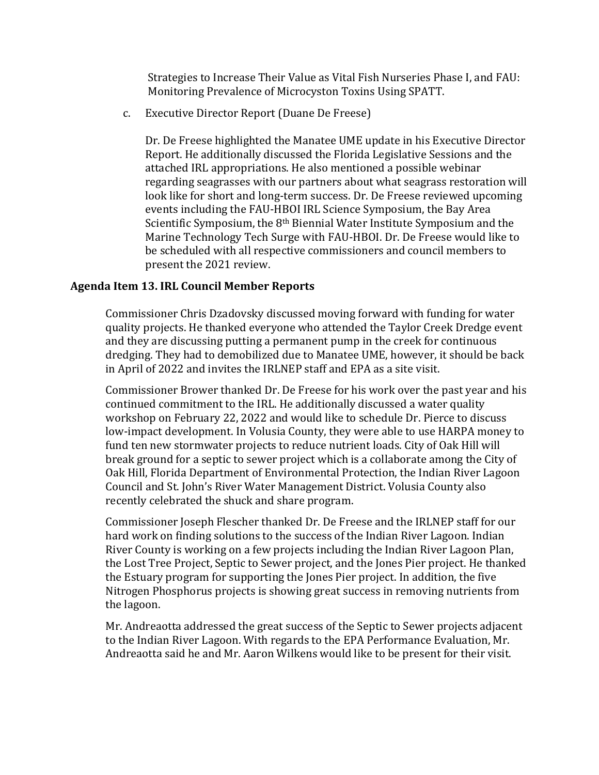Strategies to Increase Their Value as Vital Fish Nurseries Phase I, and FAU: Monitoring Prevalence of Microcyston Toxins Using SPATT.

c. Executive Director Report (Duane De Freese)

Dr. De Freese highlighted the Manatee UME update in his Executive Director Report. He additionally discussed the Florida Legislative Sessions and the attached IRL appropriations. He also mentioned a possible webinar regarding seagrasses with our partners about what seagrass restoration will look like for short and long-term success. Dr. De Freese reviewed upcoming events including the FAU-HBOI IRL Science Symposium, the Bay Area Scientific Symposium, the 8th Biennial Water Institute Symposium and the Marine Technology Tech Surge with FAU-HBOI. Dr. De Freese would like to be scheduled with all respective commissioners and council members to present the 2021 review.

#### **Agenda Item 13. IRL Council Member Reports**

Commissioner Chris Dzadovsky discussed moving forward with funding for water quality projects. He thanked everyone who attended the Taylor Creek Dredge event and they are discussing putting a permanent pump in the creek for continuous dredging. They had to demobilized due to Manatee UME, however, it should be back in April of 2022 and invites the IRLNEP staff and EPA as a site visit.

Commissioner Brower thanked Dr. De Freese for his work over the past year and his continued commitment to the IRL. He additionally discussed a water quality workshop on February 22, 2022 and would like to schedule Dr. Pierce to discuss low-impact development. In Volusia County, they were able to use HARPA money to fund ten new stormwater projects to reduce nutrient loads. City of Oak Hill will break ground for a septic to sewer project which is a collaborate among the City of Oak Hill, Florida Department of Environmental Protection, the Indian River Lagoon Council and St. John's River Water Management District. Volusia County also recently celebrated the shuck and share program.

Commissioner Joseph Flescher thanked Dr. De Freese and the IRLNEP staff for our hard work on finding solutions to the success of the Indian River Lagoon. Indian River County is working on a few projects including the Indian River Lagoon Plan, the Lost Tree Project, Septic to Sewer project, and the Jones Pier project. He thanked the Estuary program for supporting the Jones Pier project. In addition, the five Nitrogen Phosphorus projects is showing great success in removing nutrients from the lagoon.

Mr. Andreaotta addressed the great success of the Septic to Sewer projects adjacent to the Indian River Lagoon. With regards to the EPA Performance Evaluation, Mr. Andreaotta said he and Mr. Aaron Wilkens would like to be present for their visit.